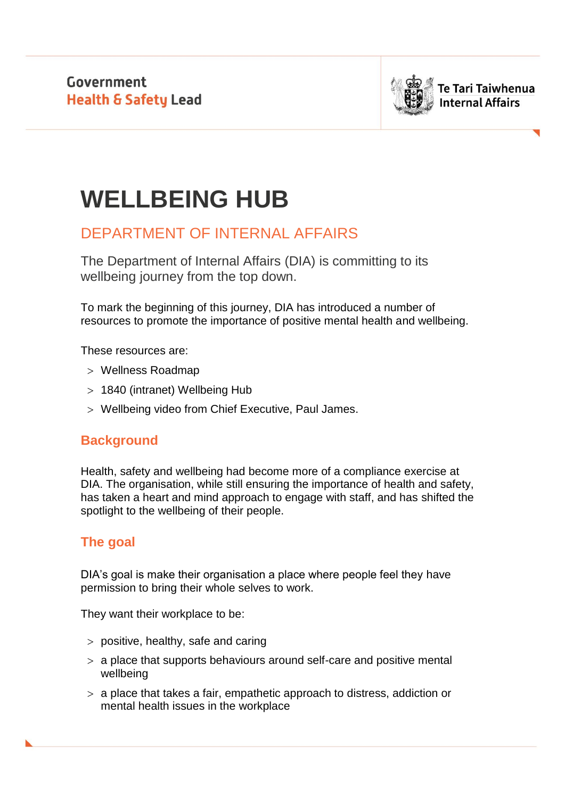

# **WELLBEING HUB**

# DEPARTMENT OF INTERNAL AFFAIRS

The Department of Internal Affairs (DIA) is committing to its wellbeing journey from the top down.

To mark the beginning of this journey, DIA has introduced a number of resources to promote the importance of positive mental health and wellbeing.

These resources are:

- Wellness Roadmap
- 1840 (intranet) Wellbeing Hub
- Wellbeing video from Chief Executive, Paul James.

# **Background**

Health, safety and wellbeing had become more of a compliance exercise at DIA. The organisation, while still ensuring the importance of health and safety, has taken a heart and mind approach to engage with staff, and has shifted the spotlight to the wellbeing of their people.

# **The goal**

DIA's goal is make their organisation a place where people feel they have permission to bring their whole selves to work.

They want their workplace to be:

- $>$  positive, healthy, safe and caring
- a place that supports behaviours around self-care and positive mental wellbeing
- a place that takes a fair, empathetic approach to distress, addiction or mental health issues in the workplace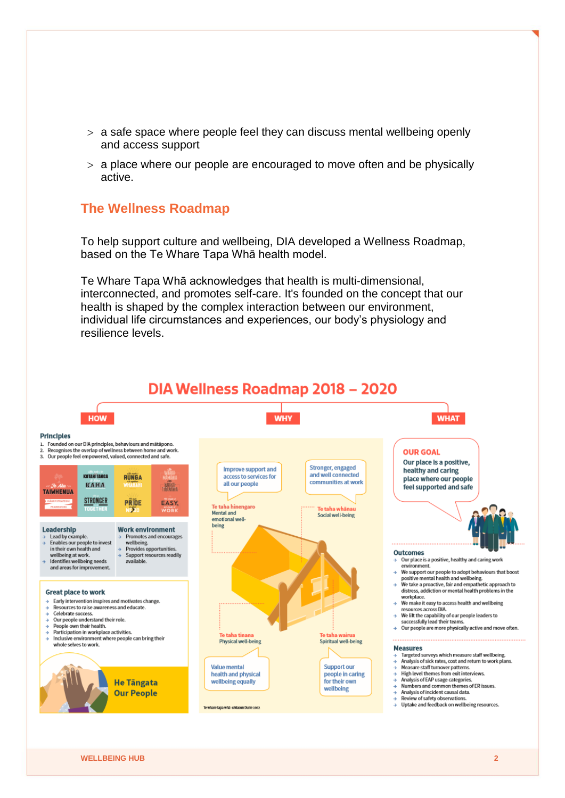- $>$  a safe space where people feel they can discuss mental wellbeing openly and access support
- $>$  a place where our people are encouraged to move often and be physically active.

### **The Wellness Roadmap**

To help support culture and wellbeing, DIA developed a Wellness Roadmap, based on the Te Whare Tapa Whā health model.

Te Whare Tapa Whā acknowledges that health is multi-dimensional, interconnected, and promotes self-care. It's founded on the concept that our health is shaped by the complex interaction between our environment, individual life circumstances and experiences, our body's physiology and resilience levels.

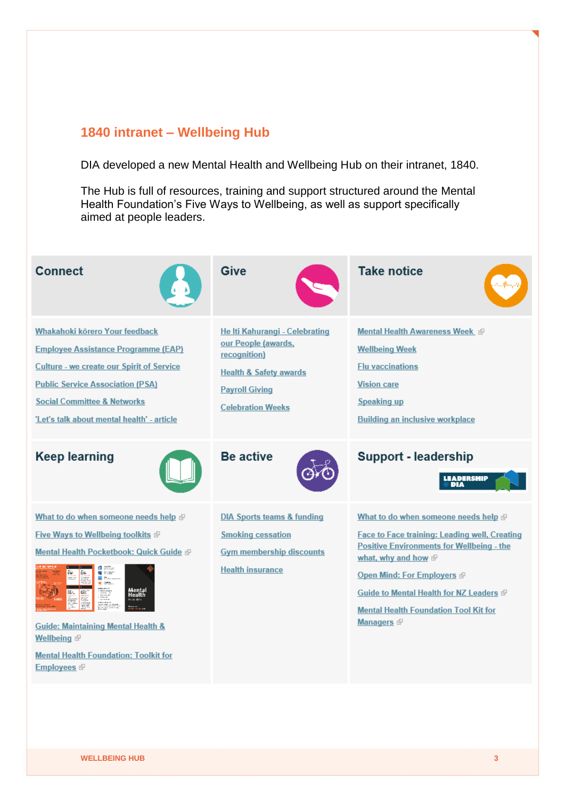#### **1840 intranet – Wellbeing Hub**

DIA developed a new Mental Health and Wellbeing Hub on their intranet, 1840.

The Hub is full of resources, training and support structured around the Mental Health Foundation's Five Ways to Wellbeing, as well as support specifically aimed at people leaders.



**WELLBEING HUB 3**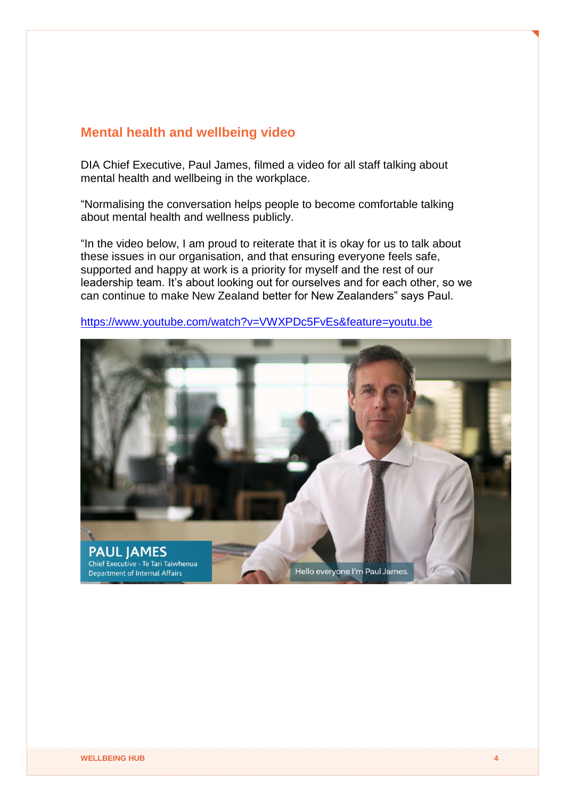#### **Mental health and wellbeing video**

DIA Chief Executive, Paul James, filmed a video for all staff talking about mental health and wellbeing in the workplace.

"Normalising the conversation helps people to become comfortable talking about mental health and wellness publicly.

"In the video below, I am proud to reiterate that it is okay for us to talk about these issues in our organisation, and that ensuring everyone feels safe, supported and happy at work is a priority for myself and the rest of our leadership team. It's about looking out for ourselves and for each other, so we can continue to make New Zealand better for New Zealanders" says Paul.



<https://www.youtube.com/watch?v=VWXPDc5FvEs&feature=youtu.be>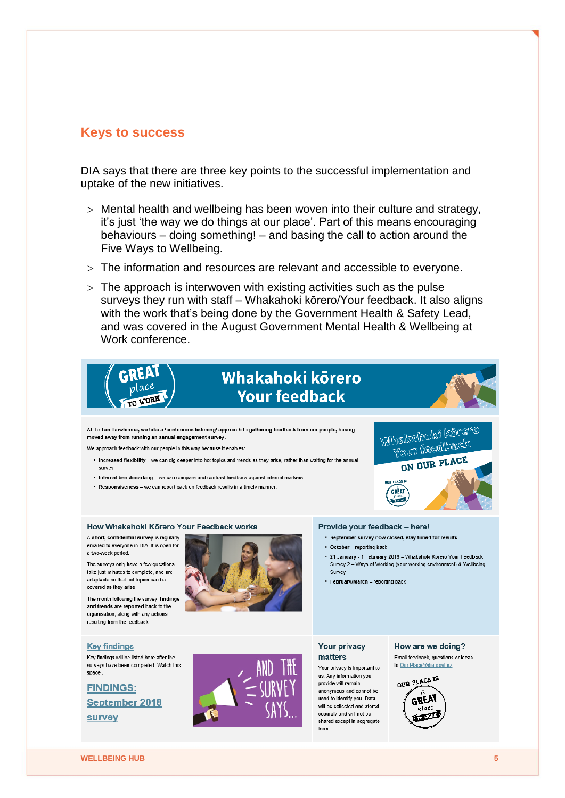#### **Keys to success**

DIA says that there are three key points to the successful implementation and uptake of the new initiatives.

- Mental health and wellbeing has been woven into their culture and strategy, it's just 'the way we do things at our place'. Part of this means encouraging behaviours – doing something! – and basing the call to action around the Five Ways to Wellbeing.
- The information and resources are relevant and accessible to everyone.
- $>$  The approach is interwoven with existing activities such as the pulse surveys they run with staff – Whakahoki kōrero/Your feedback. It also aligns with the work that's being done by the Government Health & Safety Lead, and was covered in the August Government Mental Health & Wellbeing at Work conference



shared except in aggregate

form